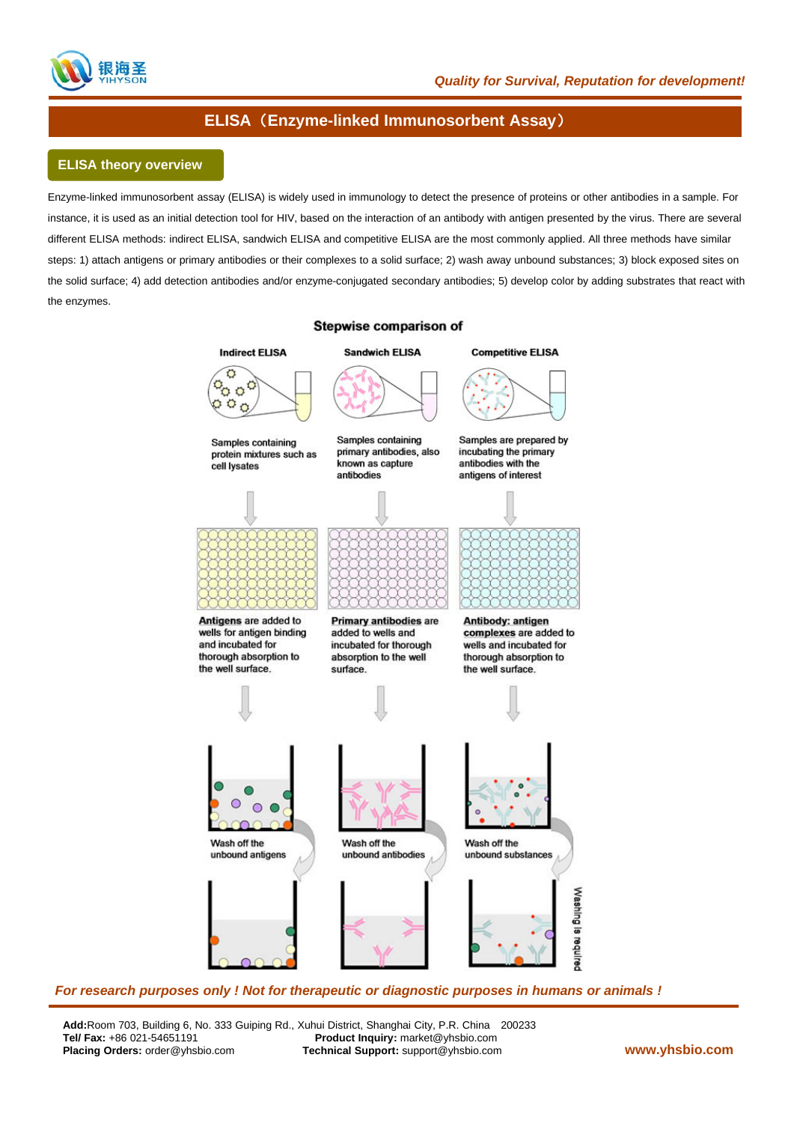

## **ELISA**(**Enzyme-linked Immunosorbent Assay**)

## **ELISA theory overview**

Enzyme-linked immunosorbent assay (ELISA) is widely used in immunology to detect the presence of proteins or other antibodies in a sample. For instance, it is used as an initial detection tool for HIV, based on the interaction of an antibody with antigen presented by the virus. There are several different ELISA methods: indirect ELISA, sandwich ELISA and competitive ELISA are the most commonly applied. All three methods have similar steps: 1) attach antigens or primary antibodies or their complexes to a solid surface; 2) wash away unbound substances; 3) block exposed sites on the solid surface; 4) add detection antibodies and/or enzyme-conjugated secondary antibodies; 5) develop color by adding substrates that react with the enzymes.



## *For research purposes only ! Not for therapeutic or diagnostic purposes in humans or animals !*

**Add:**Room 703, Building 6, No. 333 Guiping Rd., Xuhui District, Shanghai City, P.R. China 200233 **Tel/ Fax:** +86 021-54651191 **Product Inquiry:** market@yhsbio.com **Placing Orders:** order@yhsbio.com **Technical Support:** support@yhsbio.com **www.yhsbio.com**